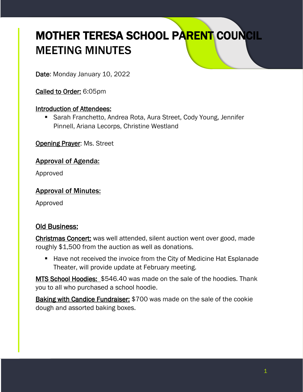# MOTHER TERESA SCHOOL PARENT COUNCIL MEETING MINUTES

Date: Monday January 10, 2022

Called to Order: 6:05pm

#### Introduction of Attendees:

■ Sarah Franchetto, Andrea Rota, Aura Street, Cody Young, Jennifer Pinnell, Ariana Lecorps, Christine Westland

**Opening Prayer: Ms. Street** 

### Approval of Agenda:

Approved

#### Approval of Minutes:

Approved

# Old Business:

Christmas Concert: was well attended, silent auction went over good, made roughly \$1,500 from the auction as well as donations.

■ Have not received the invoice from the City of Medicine Hat Esplanade Theater, will provide update at February meeting.

MTS School Hoodies: \$546.40 was made on the sale of the hoodies. Thank you to all who purchased a school hoodie.

Baking with Candice Fundraiser: \$700 was made on the sale of the cookie dough and assorted baking boxes.